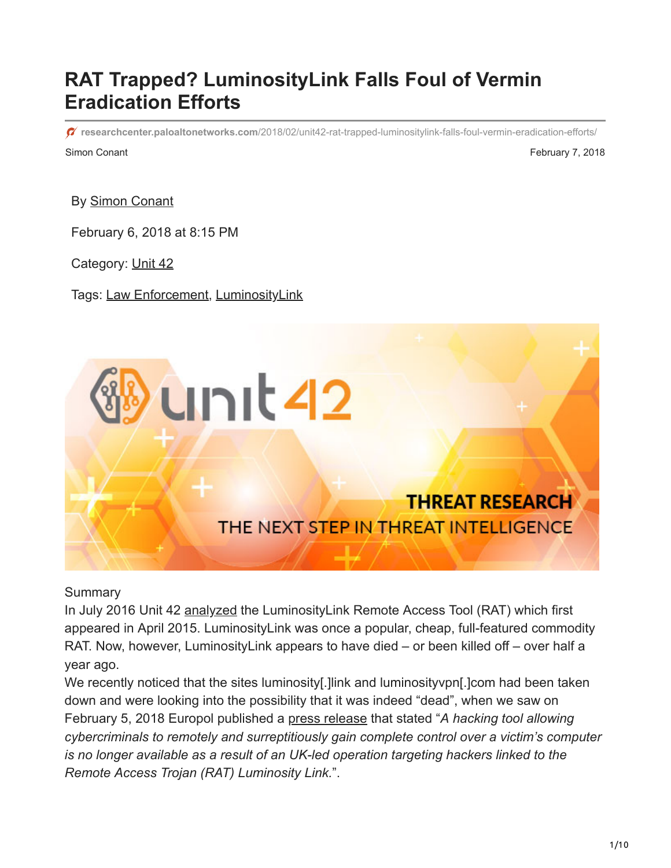# **RAT Trapped? LuminosityLink Falls Foul of Vermin Eradication Efforts**

Simon Conant **February 7, 2018 researchcenter.paloaltonetworks.com**[/2018/02/unit42-rat-trapped-luminositylink-falls-foul-vermin-eradication-efforts/](https://researchcenter.paloaltonetworks.com/2018/02/unit42-rat-trapped-luminositylink-falls-foul-vermin-eradication-efforts/)

By [Simon Conant](https://unit42.paloaltonetworks.com/author/simon-conant/)

February 6, 2018 at 8:15 PM

Category: [Unit 42](https://unit42.paloaltonetworks.com/category/unit42/)

Tags: [Law Enforcement](https://unit42.paloaltonetworks.com/tag/law-enforcement/), [LuminosityLink](https://unit42.paloaltonetworks.com/tag/luminositylink/)



**Summary** 

In July 2016 Unit 42 [analyzed](https://blog.paloaltonetworks.com/2016/07/unit42-investigating-the-luminositylink-remote-access-trojan-configuration/) the LuminosityLink Remote Access Tool (RAT) which first appeared in April 2015. LuminosityLink was once a popular, cheap, full-featured commodity RAT. Now, however, LuminosityLink appears to have died – or been killed off – over half a year ago.

We recently noticed that the sites luminosity[.] link and luminosity upn[.] com had been taken down and were looking into the possibility that it was indeed "dead", when we saw on February 5, 2018 Europol published a [press release](https://www.europol.europa.eu/newsroom/news/international-crackdown-anti-spyware-malware) that stated "*A hacking tool allowing cybercriminals to remotely and surreptitiously gain complete control over a victim's computer is no longer available as a result of an UK-led operation targeting hackers linked to the Remote Access Trojan (RAT) Luminosity Link.*".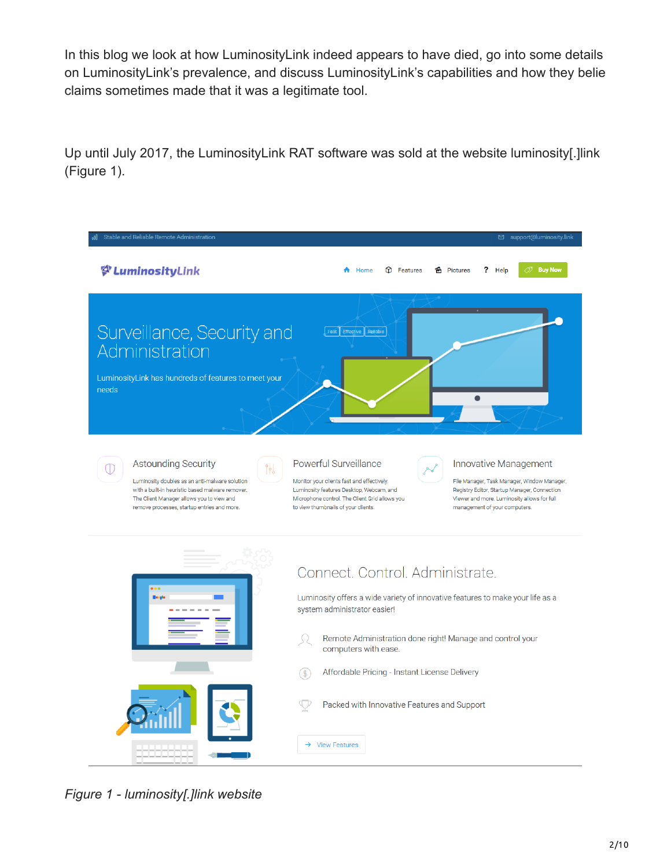In this blog we look at how LuminosityLink indeed appears to have died, go into some details on LuminosityLink's prevalence, and discuss LuminosityLink's capabilities and how they belie claims sometimes made that it was a legitimate tool.

Up until July 2017, the LuminosityLink RAT software was sold at the website luminosity[.]link (Figure 1).

| Stable and Reliable Remote Administration                                                                                                                                                                                       | □ support@luminosity.link                                                                                                                                                                                                                                                                                                                                                                                        |
|---------------------------------------------------------------------------------------------------------------------------------------------------------------------------------------------------------------------------------|------------------------------------------------------------------------------------------------------------------------------------------------------------------------------------------------------------------------------------------------------------------------------------------------------------------------------------------------------------------------------------------------------------------|
| & LuminosityLink                                                                                                                                                                                                                | <b><i>I</i></b> Buy Nov<br>Home<br><b>D</b> Features<br><b>6</b> Pictures<br>? Help                                                                                                                                                                                                                                                                                                                              |
| Surveillance, Security and<br>Administration<br>LuminosityLink has hundreds of features to meet your<br>needs                                                                                                                   | Effective Reliable                                                                                                                                                                                                                                                                                                                                                                                               |
| Astounding Security<br>∥<br>⊕<br>Luminosity doubles as an anti-malware solution<br>with a built-in heuristic based malware remover.<br>The Client Manager allows you to view and<br>remove processes, startup entries and more. | Powerful Surveillance<br>Innovative Management<br>Monitor your clients fast and effectively.<br>File Manager, Task Manager, Window Manager,<br>Luminosity features Desktop, Webcam, and<br>Registry Editor, Startup Manager, Connection<br>Microphone control. The Client Grid allows you<br>Viewer and more. Luminosity allows for full<br>to view thumbnails of your clients.<br>management of your computers. |
| $\bullet$<br><b>Beats</b>                                                                                                                                                                                                       | Connect. Control. Administrate.<br>Luminosity offers a wide variety of innovative features to make your life as a<br>system administrator easier!<br>Remote Administration done right! Manage and control your<br>computers with ease.                                                                                                                                                                           |
|                                                                                                                                                                                                                                 | Affordable Pricing - Instant License Delivery<br>Packed with Innovative Features and Support                                                                                                                                                                                                                                                                                                                     |
|                                                                                                                                                                                                                                 | →<br><b>View Features</b>                                                                                                                                                                                                                                                                                                                                                                                        |

*Figure 1 - luminosity[.]link website*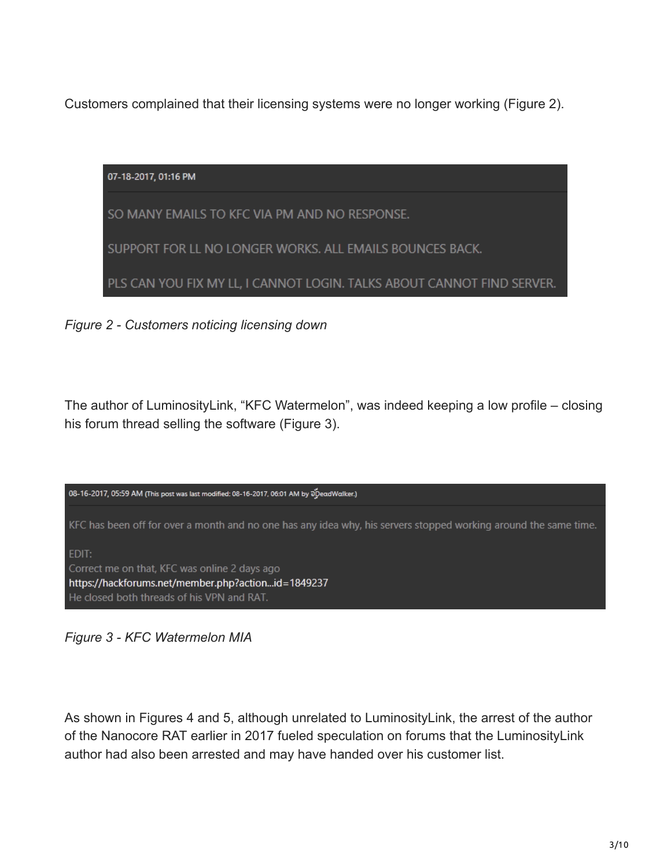Customers complained that their licensing systems were no longer working (Figure 2).

| 07-18-2017, 01:16 PM                                                   |
|------------------------------------------------------------------------|
| SO MANY EMAILS TO KFC VIA PM AND NO RESPONSE.                          |
| SUPPORT FOR LL NO LONGER WORKS. ALL EMAILS BOUNCES BACK.               |
| PLS CAN YOU FIX MY LL, I CANNOT LOGIN. TALKS ABOUT CANNOT FIND SERVER. |

*Figure 2 - Customers noticing licensing down*

The author of LuminosityLink, "KFC Watermelon", was indeed keeping a low profile – closing his forum thread selling the software (Figure 3).



*Figure 3 - KFC Watermelon MIA*

As shown in Figures 4 and 5, although unrelated to LuminosityLink, the arrest of the author of the Nanocore RAT earlier in 2017 fueled speculation on forums that the LuminosityLink author had also been arrested and may have handed over his customer list.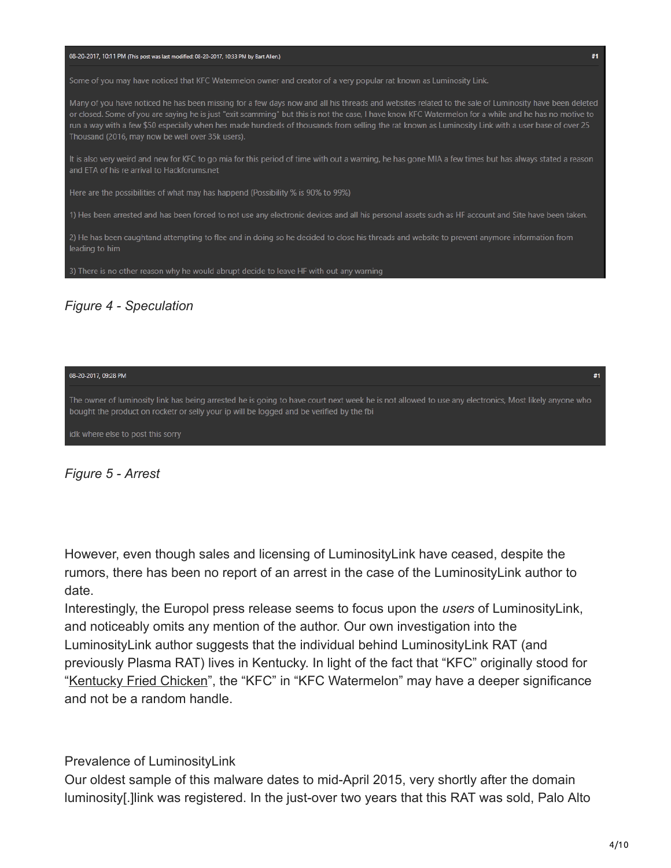

| 08-20-2017, 09:28 PM                                                                                                                                                                                                                             | #1 |
|--------------------------------------------------------------------------------------------------------------------------------------------------------------------------------------------------------------------------------------------------|----|
| The owner of luminosity link has being arrested he is going to have court next week he is not allowed to use any electronics, Most likely anyone who<br>bought the product on rocketr or selly your ip will be logged and be verified by the fbi |    |
| idk where else to post this sorry                                                                                                                                                                                                                |    |

*Figure 5 - Arrest*

However, even though sales and licensing of LuminosityLink have ceased, despite the rumors, there has been no report of an arrest in the case of the LuminosityLink author to date.

Interestingly, the Europol press release seems to focus upon the *users* of LuminosityLink, and noticeably omits any mention of the author. Our own investigation into the LuminosityLink author suggests that the individual behind LuminosityLink RAT (and previously Plasma RAT) lives in Kentucky. In light of the fact that "KFC" originally stood for "[Kentucky Fried Chicken"](https://en.wikipedia.org/wiki/KFC), the "KFC" in "KFC Watermelon" may have a deeper significance and not be a random handle.

Prevalence of LuminosityLink

Our oldest sample of this malware dates to mid-April 2015, very shortly after the domain luminosity[.]link was registered. In the just-over two years that this RAT was sold, Palo Alto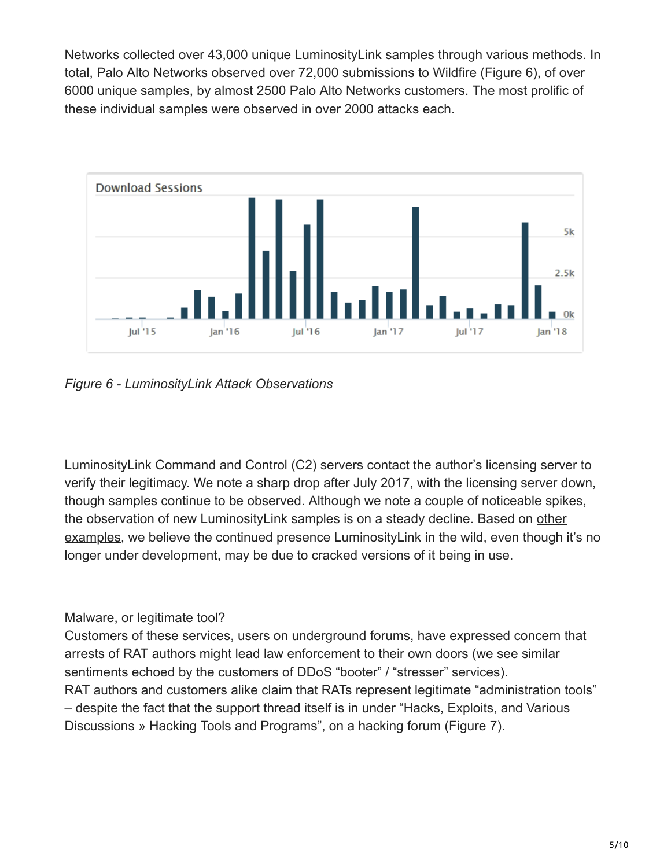Networks collected over 43,000 unique LuminosityLink samples through various methods. In total, Palo Alto Networks observed over 72,000 submissions to Wildfire (Figure 6), of over 6000 unique samples, by almost 2500 Palo Alto Networks customers. The most prolific of these individual samples were observed in over 2000 attacks each.



*Figure 6 - LuminosityLink Attack Observations*

LuminosityLink Command and Control (C2) servers contact the author's licensing server to verify their legitimacy. We note a sharp drop after July 2017, with the licensing server down, though samples continue to be observed. Although we note a couple of noticeable spikes, [the observation of new LuminosityLink samples is on a steady decline. Based on other](https://krebsonsecurity.com/2011/06/software-cracks-a-great-way-to-infect-your-pc/) examples, we believe the continued presence LuminosityLink in the wild, even though it's no longer under development, may be due to cracked versions of it being in use.

### Malware, or legitimate tool?

Customers of these services, users on underground forums, have expressed concern that arrests of RAT authors might lead law enforcement to their own doors (we see similar sentiments echoed by the customers of DDoS "booter" / "stresser" services). RAT authors and customers alike claim that RATs represent legitimate "administration tools" – despite the fact that the support thread itself is in under "Hacks, Exploits, and Various Discussions » Hacking Tools and Programs", on a hacking forum (Figure 7).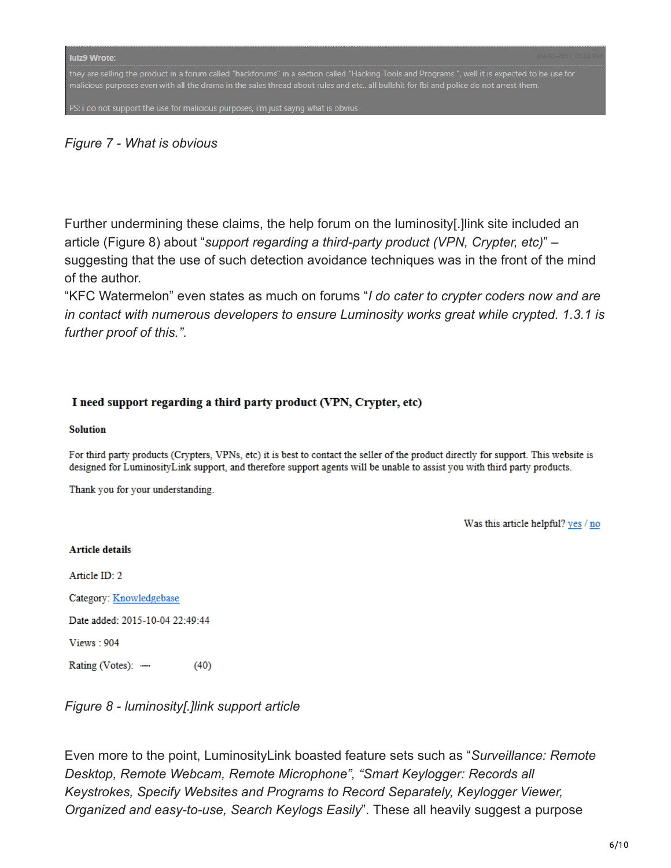they are selling the product in a forum called "hackforums" in a section called "Hacking Tools and Programs ", well it is expected to be use for

PS: i do not support the use for malicious purposes, i'm just sayng what is obvius

#### *Figure 7 - What is obvious*

Further undermining these claims, the help forum on the luminosity[.]link site included an article (Figure 8) about "*support regarding a third-party product (VPN, Crypter, etc)*" – suggesting that the use of such detection avoidance techniques was in the front of the mind of the author.

"KFC Watermelon" even states as much on forums "*I do cater to crypter coders now and are in contact with numerous developers to ensure Luminosity works great while crypted. 1.3.1 is further proof of this."*.

#### I need support regarding a third party product (VPN, Crypter, etc)

#### **Solution**

For third party products (Crypters, VPNs, etc) it is best to contact the seller of the product directly for support. This website is designed for LuminosityLink support, and therefore support agents will be unable to assist you with third party products.

Thank you for your understanding.

Was this article helpful? yes / no

#### **Article details**

Article ID: 2

Category: Knowledgebase

Date added: 2015-10-04 22:49:44

Views: 904

Rating (Votes): - $(40)$ 

*Figure 8 - luminosity[.]link support article*

Even more to the point, LuminosityLink boasted feature sets such as "*Surveillance: Remote Desktop, Remote Webcam, Remote Microphone", "Smart Keylogger: Records all Keystrokes, Specify Websites and Programs to Record Separately, Keylogger Viewer, Organized and easy-to-use, Search Keylogs Easily*". These all heavily suggest a purpose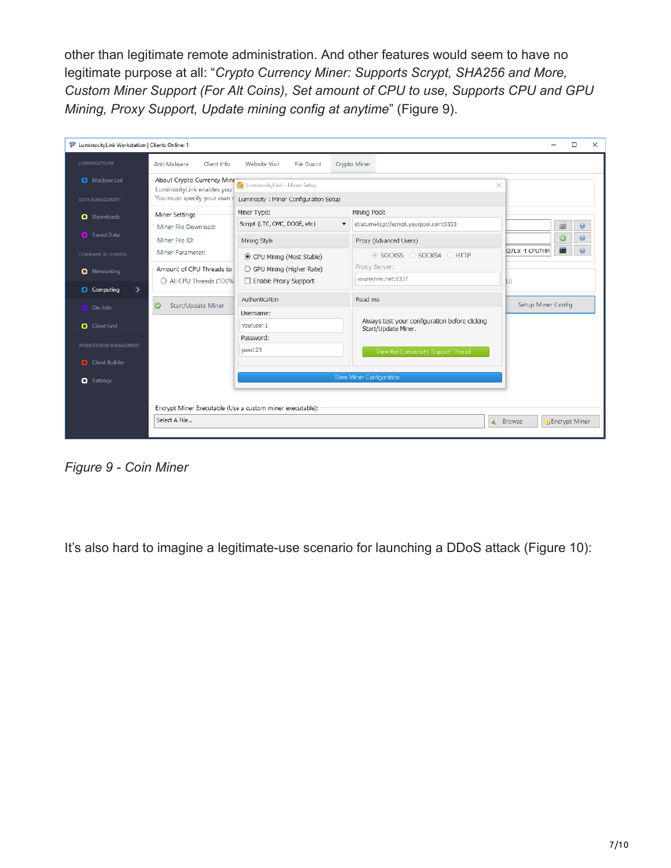other than legitimate remote administration. And other features would seem to have no legitimate purpose at all: "*Crypto Currency Miner: Supports Scrypt, SHA256 and More, Custom Miner Support (For Alt Coins), Set amount of CPU to use, Supports CPU and GPU Mining, Proxy Support, Update mining config at anytime*" (Figure 9).

| LuminosityLink Workstation   Clients Online: 1<br>□<br>× |                                                          |                                                           |                                                                    |                           |                        |                |
|----------------------------------------------------------|----------------------------------------------------------|-----------------------------------------------------------|--------------------------------------------------------------------|---------------------------|------------------------|----------------|
| <b>LUMINOSITYLINK</b>                                    | Anti-Malware<br>Client Info                              | Website Visit<br>File Guard                               | Crypto Miner                                                       |                           |                        |                |
| Machine List                                             | About Crypto Currency Mine<br>LuminosityLink enables you | (3) LuminosityLink - Miner Setup                          |                                                                    | ×                         |                        |                |
| <b>DATA MANAGEMENT</b>                                   | You must specify your own r                              | Luminosity : Miner Configuration Setup                    |                                                                    |                           |                        |                |
| <b>O</b> Downloads                                       | <b>Miner Settings</b>                                    | Miner Type:                                               | Mining Pool:                                                       |                           |                        |                |
|                                                          | Miner File Download:                                     | Scrypt (LTC, OMC, DOGE, etc)                              | stratum+tcp://scrypt.yourpool.com:3333<br>$\overline{\phantom{a}}$ |                           | e                      | $\circledcirc$ |
| Saved Data                                               | Miner File ID:                                           | Mining Style                                              | Proxy (Advanced Users)                                             |                           | $\odot$                |                |
| <b>COMMAND &amp; CONTROL</b>                             | Miner Parameter:                                         | © CPU Mining (Most Stable)                                | ◯ SOCKS4 ◯ HTTP<br>SOCKS5                                          | Q7L:x -t CPUTHR           | E                      |                |
| <b>O</b> Networking                                      | Amount of CPU Threads to                                 | ○ GPU Mining (Higher Rate)                                | Proxy Server:<br>yourserver.net:1337                               |                           |                        |                |
| $\rightarrow$<br><b>Q</b> Computing                      | O All CPU Threads (100%                                  | Enable Proxy Support                                      |                                                                    | U)                        |                        |                |
| On-Join                                                  | $\bm{\circ}$<br>Start/Update Miner                       | Authentication                                            | Read me                                                            | <b>Setup Miner Config</b> |                        |                |
|                                                          |                                                          | Username:                                                 | Always test your configuration before clicking                     |                           |                        |                |
| Client Grid                                              |                                                          | vouruser.1<br>Start/Update Miner.                         |                                                                    |                           |                        |                |
| <b>WORKSTATION MANAGEMENT</b>                            |                                                          | Password:<br>pass123                                      |                                                                    |                           |                        |                |
| <b>Q</b> Client Builder                                  |                                                          |                                                           | View the Luminosity Support Thread                                 |                           |                        |                |
| <b>Q</b> Settings                                        |                                                          |                                                           | Save Miner Configuration                                           |                           |                        |                |
|                                                          |                                                          |                                                           |                                                                    |                           |                        |                |
|                                                          |                                                          | Encrypt Miner Executable (Use a custom miner executable): |                                                                    |                           |                        |                |
|                                                          | Select A File                                            |                                                           | Q                                                                  | <b>Browse</b>             | <b>B</b> Encrypt Miner |                |
|                                                          |                                                          |                                                           |                                                                    |                           |                        |                |

*Figure 9 - Coin Miner*

It's also hard to imagine a legitimate-use scenario for launching a DDoS attack (Figure 10):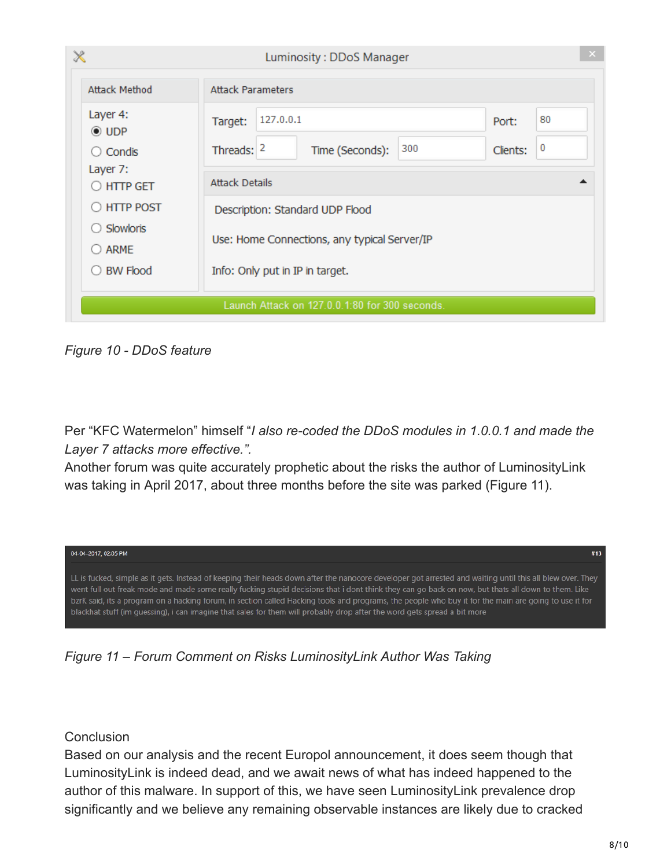| $\mathbb{\mathsf{X}}$                          | Luminosity: DDoS Manager                                        |  |  |
|------------------------------------------------|-----------------------------------------------------------------|--|--|
| <b>Attack Method</b>                           | <b>Attack Parameters</b>                                        |  |  |
| Layer 4:<br>$\odot$ UDP                        | 127.0.0.1<br>80<br>Target:<br>Port:                             |  |  |
| Condis<br>Ω                                    | $\bf{0}$<br>300<br>Threads: $ 2$<br>Time (Seconds):<br>Clients: |  |  |
| Layer 7:<br><b>HTTP GET</b>                    | <b>Attack Details</b>                                           |  |  |
| <b>HTTP POST</b>                               | Description: Standard UDP Flood                                 |  |  |
| Slowloris<br><b>ARME</b>                       | Use: Home Connections, any typical Server/IP                    |  |  |
| <b>BW Flood</b>                                | Info: Only put in IP in target.                                 |  |  |
| Launch Attack on 127.0.0.1:80 for 300 seconds. |                                                                 |  |  |

*Figure 10 - DDoS feature*

Per "KFC Watermelon" himself "*I also re-coded the DDoS modules in 1.0.0.1 and made the Layer 7 attacks more effective.".*

Another forum was quite accurately prophetic about the risks the author of LuminosityLink was taking in April 2017, about three months before the site was parked (Figure 11).



*Figure 11 – Forum Comment on Risks LuminosityLink Author Was Taking*

### **Conclusion**

Based on our analysis and the recent Europol announcement, it does seem though that LuminosityLink is indeed dead, and we await news of what has indeed happened to the author of this malware. In support of this, we have seen LuminosityLink prevalence drop significantly and we believe any remaining observable instances are likely due to cracked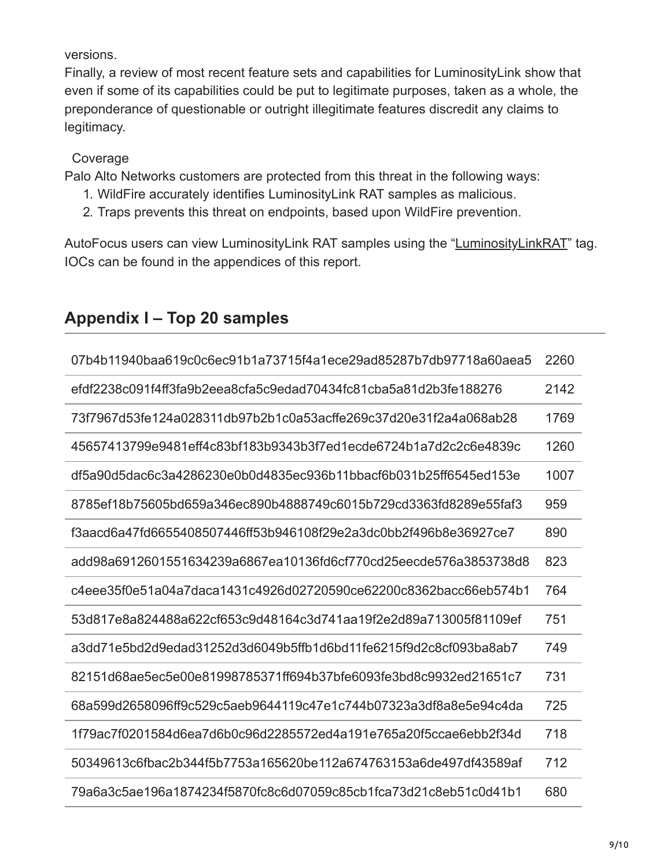versions.

Finally, a review of most recent feature sets and capabilities for LuminosityLink show that even if some of its capabilities could be put to legitimate purposes, taken as a whole, the preponderance of questionable or outright illegitimate features discredit any claims to legitimacy.

### Coverage

Palo Alto Networks customers are protected from this threat in the following ways:

- 1. WildFire accurately identifies LuminosityLink RAT samples as malicious.
- 2. Traps prevents this threat on endpoints, based upon WildFire prevention.

AutoFocus users can view LuminosityLink RAT samples using the "[LuminosityLinkRAT](https://autofocus.paloaltonetworks.com/#/tag/Unit42.LuminosityLinkRAT)" tag. IOCs can be found in the appendices of this report.

| 07b4b11940baa619c0c6ec91b1a73715f4a1ece29ad85287b7db97718a60aea5 | 2260 |
|------------------------------------------------------------------|------|
| efdf2238c091f4ff3fa9b2eea8cfa5c9edad70434fc81cba5a81d2b3fe188276 | 2142 |
| 73f7967d53fe124a028311db97b2b1c0a53acffe269c37d20e31f2a4a068ab28 | 1769 |
| 45657413799e9481eff4c83bf183b9343b3f7ed1ecde6724b1a7d2c2c6e4839c | 1260 |
| df5a90d5dac6c3a4286230e0b0d4835ec936b11bbacf6b031b25ff6545ed153e | 1007 |
| 8785ef18b75605bd659a346ec890b4888749c6015b729cd3363fd8289e55faf3 | 959  |
| f3aacd6a47fd6655408507446ff53b946108f29e2a3dc0bb2f496b8e36927ce7 | 890  |
| add98a6912601551634239a6867ea10136fd6cf770cd25eecde576a3853738d8 | 823  |
| c4eee35f0e51a04a7daca1431c4926d02720590ce62200c8362bacc66eb574b1 | 764  |
| 53d817e8a824488a622cf653c9d48164c3d741aa19f2e2d89a713005f81109ef | 751  |
| a3dd71e5bd2d9edad31252d3d6049b5ffb1d6bd11fe6215f9d2c8cf093ba8ab7 | 749  |
| 82151d68ae5ec5e00e81998785371ff694b37bfe6093fe3bd8c9932ed21651c7 | 731  |
| 68a599d2658096ff9c529c5aeb9644119c47e1c744b07323a3df8a8e5e94c4da | 725  |
| 1f79ac7f0201584d6ea7d6b0c96d2285572ed4a191e765a20f5ccae6ebb2f34d | 718  |
| 50349613c6fbac2b344f5b7753a165620be112a674763153a6de497df43589af | 712  |
| 79a6a3c5ae196a1874234f5870fc8c6d07059c85cb1fca73d21c8eb51c0d41b1 | 680  |

## **Appendix I – Top 20 samples**